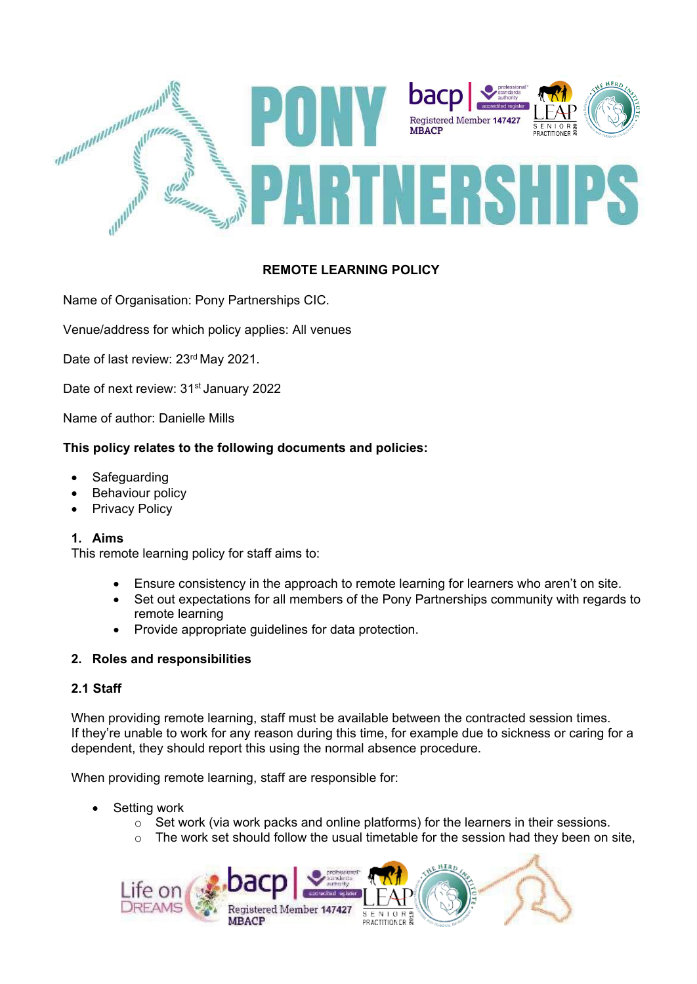

# **REMOTE LEARNING POLICY**

Name of Organisation: Pony Partnerships CIC.

Venue/address for which policy applies: All venues

Date of last review: 23<sup>rd</sup> May 2021.

Date of next review: 31<sup>st</sup> January 2022

Name of author: Danielle Mills

### **This policy relates to the following documents and policies:**

- **Safeguarding**
- **Behaviour policy**
- **Privacy Policy**

#### **1. Aims**

This remote learning policy for staff aims to:

- Ensure consistency in the approach to remote learning for learners who aren't on site.
- Set out expectations for all members of the Pony Partnerships community with regards to remote learning
- Provide appropriate guidelines for data protection.

### **2. Roles and responsibilities**

### **2.1 Staff**

When providing remote learning, staff must be available between the contracted session times. If they're unable to work for any reason during this time, for example due to sickness or caring for a dependent, they should report this using the normal absence procedure.

When providing remote learning, staff are responsible for:

- Setting work
	- $\circ$  Set work (via work packs and online platforms) for the learners in their sessions.
	- o The work set should follow the usual timetable for the session had they been on site,

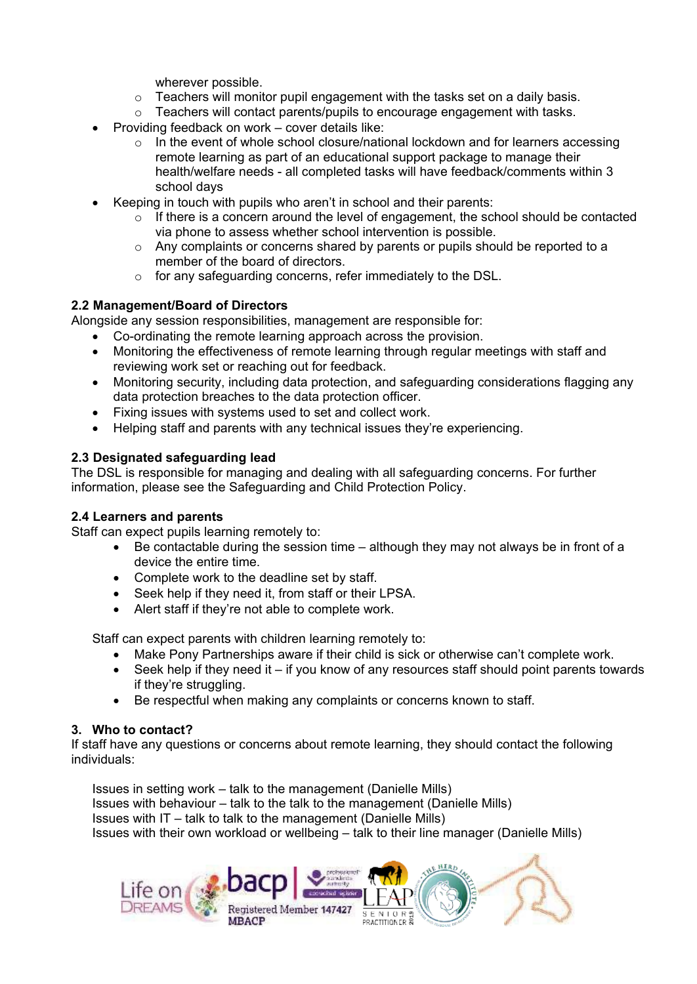wherever possible.

- $\circ$  Teachers will monitor pupil engagement with the tasks set on a daily basis.<br> $\circ$  Teachers will contact parents/pupils to encourage engagement with tasks.
- Teachers will contact parents/pupils to encourage engagement with tasks.
- Providing feedback on work cover details like:
	- $\circ$  In the event of whole school closure/national lockdown and for learners accessing remote learning as part of an educational support package to manage their health/welfare needs - all completed tasks will have feedback/comments within 3 school days
- Keeping in touch with pupils who aren't in school and their parents:
	- $\circ$  If there is a concern around the level of engagement, the school should be contacted via phone to assess whether school intervention is possible.
	- $\circ$  Any complaints or concerns shared by parents or pupils should be reported to a member of the board of directors.
	- o for any safeguarding concerns, refer immediately to the DSL.

## **2.2 Management/Board of Directors**

Alongside any session responsibilities, management are responsible for:

- Co-ordinating the remote learning approach across the provision.
- Monitoring the effectiveness of remote learning through regular meetings with staff and reviewing work set or reaching out for feedback.
- Monitoring security, including data protection, and safeguarding considerations flagging any data protection breaches to the data protection officer.
- Fixing issues with systems used to set and collect work.
- Helping staff and parents with any technical issues they're experiencing.

## **2.3 Designated safeguarding lead**

The DSL is responsible for managing and dealing with all safeguarding concerns. For further information, please see the Safeguarding and Child Protection Policy.

### **2.4 Learners and parents**

Staff can expect pupils learning remotely to:

- Be contactable during the session time although they may not always be in front of a device the entire time.
- Complete work to the deadline set by staff.
- Seek help if they need it, from staff or their LPSA.
- Alert staff if they're not able to complete work.

Staff can expect parents with children learning remotely to:

- Make Pony Partnerships aware if their child is sick or otherwise can't complete work.
- Seek help if they need it  $-$  if you know of any resources staff should point parents towards if they're struggling.
- Be respectful when making any complaints or concerns known to staff.

### **3. Who to contact?**

If staff have any questions or concerns about remote learning, they should contact the following individuals:

Issues in setting work – talk to the management (Danielle Mills) Issues with behaviour – talk to the talk to the management (Danielle Mills) Issues with IT – talk to talk to the management (Danielle Mills) Issues with their own workload or wellbeing – talk to their line manager (Danielle Mills)